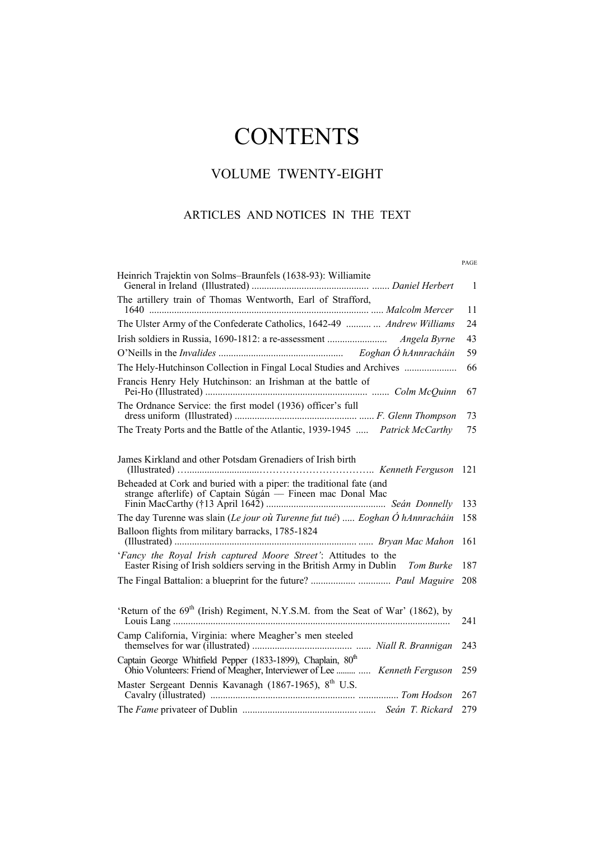# **CONTENTS**

# VOLUME TWENTY-EIGHT

## ARTICLES AND NOTICES IN THE TEXT

|                                                                                                                                                                                                 | PAGE           |
|-------------------------------------------------------------------------------------------------------------------------------------------------------------------------------------------------|----------------|
| Heinrich Trajektin von Solms-Braunfels (1638-93): Williamite                                                                                                                                    | $\overline{1}$ |
| The artillery train of Thomas Wentworth, Earl of Strafford,                                                                                                                                     | 11             |
| The Ulster Army of the Confederate Catholics, 1642-49   Andrew Williams                                                                                                                         | 24             |
|                                                                                                                                                                                                 | 43             |
|                                                                                                                                                                                                 | 59             |
| The Hely-Hutchinson Collection in Fingal Local Studies and Archives                                                                                                                             | 66             |
| Francis Henry Hely Hutchinson: an Irishman at the battle of                                                                                                                                     | 67             |
| The Ordnance Service: the first model (1936) officer's full                                                                                                                                     | 73             |
| The Treaty Ports and the Battle of the Atlantic, 1939-1945  Patrick McCarthy                                                                                                                    | 75             |
| James Kirkland and other Potsdam Grenadiers of Irish birth<br>Beheaded at Cork and buried with a piper: the traditional fate (and<br>strange afterlife) of Captain Súgán — Fineen mac Donal Mac | 121            |
|                                                                                                                                                                                                 | 133            |
| The day Turenne was slain (Le jour où Turenne fut tué)  Eoghan Ó hAnnracháin                                                                                                                    | 158            |
| Balloon flights from military barracks, 1785-1824                                                                                                                                               | 161            |
| 'Fancy the Royal Irish captured Moore Street': Attitudes to the<br>Easter Rising of Irish soldiers serving in the British Army in Dublin Tom Burke                                              | 187            |
|                                                                                                                                                                                                 | 208            |
|                                                                                                                                                                                                 |                |
| 'Return of the 69 <sup>th</sup> (Irish) Regiment, N.Y.S.M. from the Seat of War' (1862), by                                                                                                     | 241            |
| Camp California, Virginia: where Meagher's men steeled                                                                                                                                          | 243            |
| Captain George Whitfield Pepper (1833-1899), Chaplain, 80 <sup>th</sup><br>Ohio Volunteers: Friend of Meagher, Interviewer of Lee   Kenneth Ferguson                                            | 259            |
| Master Sergeant Dennis Kavanagh (1867-1965), 8th U.S.                                                                                                                                           | 267            |
|                                                                                                                                                                                                 | 279            |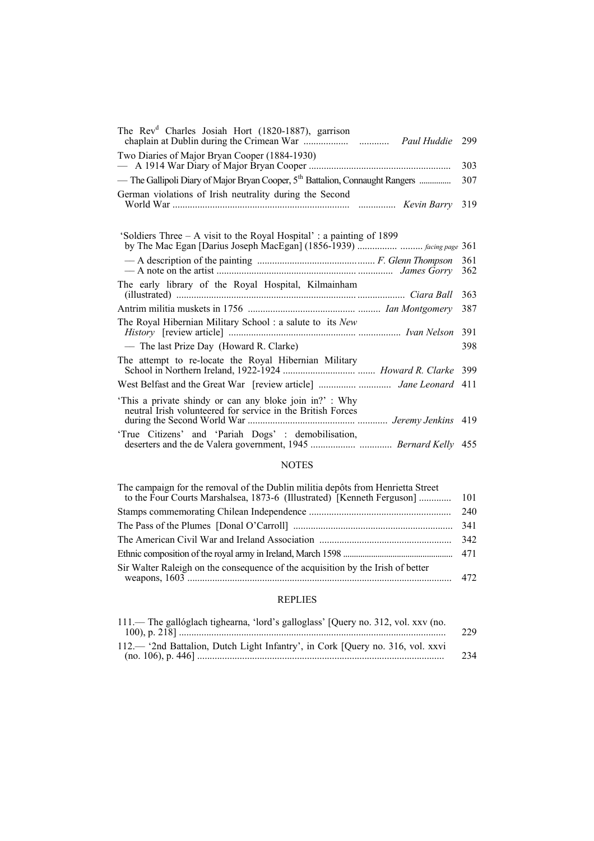| The Rev <sup>d</sup> Charles Josiah Hort (1820-1887), garrison                                                       | 299        |
|----------------------------------------------------------------------------------------------------------------------|------------|
| Two Diaries of Major Bryan Cooper (1884-1930)                                                                        | 303        |
| — The Gallipoli Diary of Major Bryan Cooper, 5 <sup>th</sup> Battalion, Connaught Rangers                            | 307        |
| German violations of Irish neutrality during the Second                                                              | 319        |
| 'Soldiers Three – A visit to the Royal Hospital': a painting of 1899                                                 |            |
|                                                                                                                      | 361<br>362 |
| The early library of the Royal Hospital, Kilmainham                                                                  | 363        |
|                                                                                                                      | 387        |
| The Royal Hibernian Military School: a salute to its New                                                             | 391        |
| — The last Prize Day (Howard R. Clarke)                                                                              | 398        |
| The attempt to re-locate the Royal Hibernian Military                                                                |            |
|                                                                                                                      |            |
| This a private shindy or can any bloke join in?': Why<br>neutral Irish volunteered for service in the British Forces |            |
| 'True Citizens' and 'Pariah Dogs' : demobilisation,                                                                  |            |

#### NOTES

| The campaign for the removal of the Dublin militia depôts from Henrietta Street<br>to the Four Courts Marshalsea, 1873-6 (Illustrated) [Kenneth Ferguson] | -101 |
|-----------------------------------------------------------------------------------------------------------------------------------------------------------|------|
|                                                                                                                                                           | 240  |
|                                                                                                                                                           |      |
|                                                                                                                                                           |      |
|                                                                                                                                                           |      |
| Sir Walter Raleigh on the consequence of the acquisition by the Irish of better                                                                           |      |

### REPLIES

| 111.— The gallóglach tighearna, 'lord's galloglass' [Query no. 312, vol. xxv (no. | 229 |
|-----------------------------------------------------------------------------------|-----|
| 112.— '2nd Battalion, Dutch Light Infantry', in Cork [Query no. 316, vol. xxvi]   | 234 |